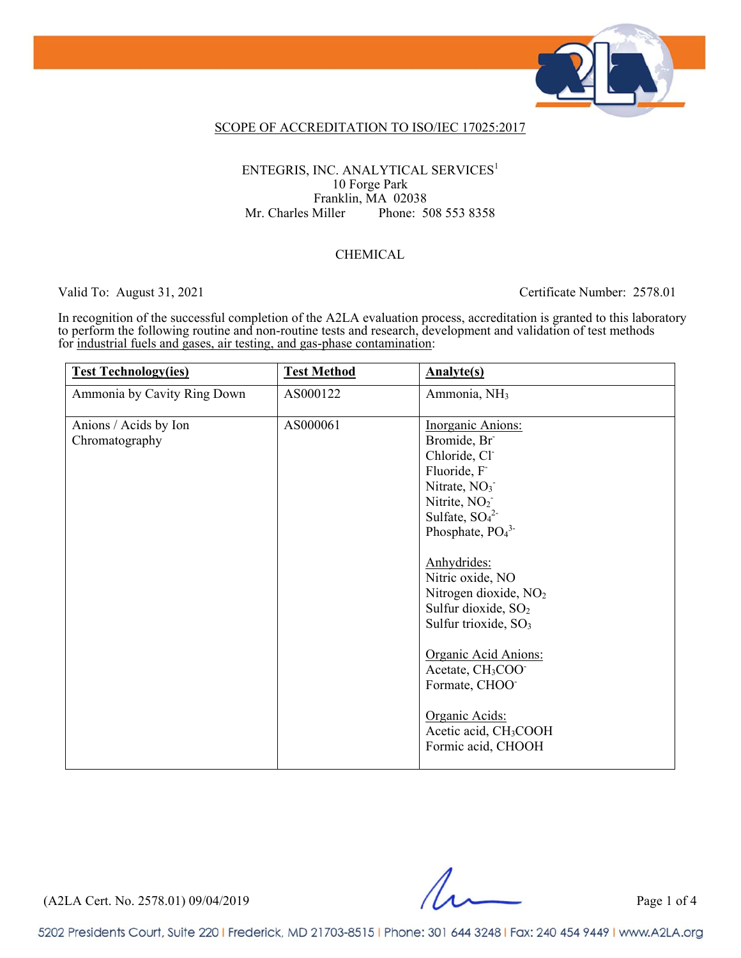

#### SCOPE OF ACCREDITATION TO ISO/IEC 17025:2017

#### ENTEGRIS, INC. ANALYTICAL SERVICES<sup>1</sup> 10 Forge Park Franklin, MA 02038 Mr. Charles Miller Phone: 508 553 8358

#### CHEMICAL

#### Valid To: August 31, 2021 Certificate Number: 2578.01

 In recognition of the successful completion of the A2LA evaluation process, accreditation is granted to this laboratory to perform the following routine and non-routine tests and research, development and validation of test methods for industrial fuels and gases, air testing, and gas-phase contamination:

| <b>Test Technology(ies)</b>             | <b>Test Method</b> | <b>Analyte(s)</b>                                                                                                                                                                                                                                                                                                                                                                                                               |
|-----------------------------------------|--------------------|---------------------------------------------------------------------------------------------------------------------------------------------------------------------------------------------------------------------------------------------------------------------------------------------------------------------------------------------------------------------------------------------------------------------------------|
| Ammonia by Cavity Ring Down             | AS000122           | Ammonia, NH <sub>3</sub>                                                                                                                                                                                                                                                                                                                                                                                                        |
| Anions / Acids by Ion<br>Chromatography | AS000061           | <b>Inorganic Anions:</b><br>Bromide, Br<br>Chloride, Cl<br>Fluoride, F<br>Nitrate, NO <sub>3</sub><br>Nitrite, NO <sub>2</sub><br>Sulfate, $SO_4^2$<br>Phosphate, $PO43$<br>Anhydrides:<br>Nitric oxide, NO<br>Nitrogen dioxide, NO <sub>2</sub><br>Sulfur dioxide, SO <sub>2</sub><br>Sulfur trioxide, SO <sub>3</sub><br>Organic Acid Anions:<br>Acetate, CH <sub>3</sub> COO <sup>-</sup><br>Formate, CHOO<br>Organic Acids: |
|                                         |                    | Acetic acid, CH <sub>3</sub> COOH<br>Formic acid, CHOOH                                                                                                                                                                                                                                                                                                                                                                         |

(A2LA Cert. No. 2578.01) 09/04/2019 Page 1 of 4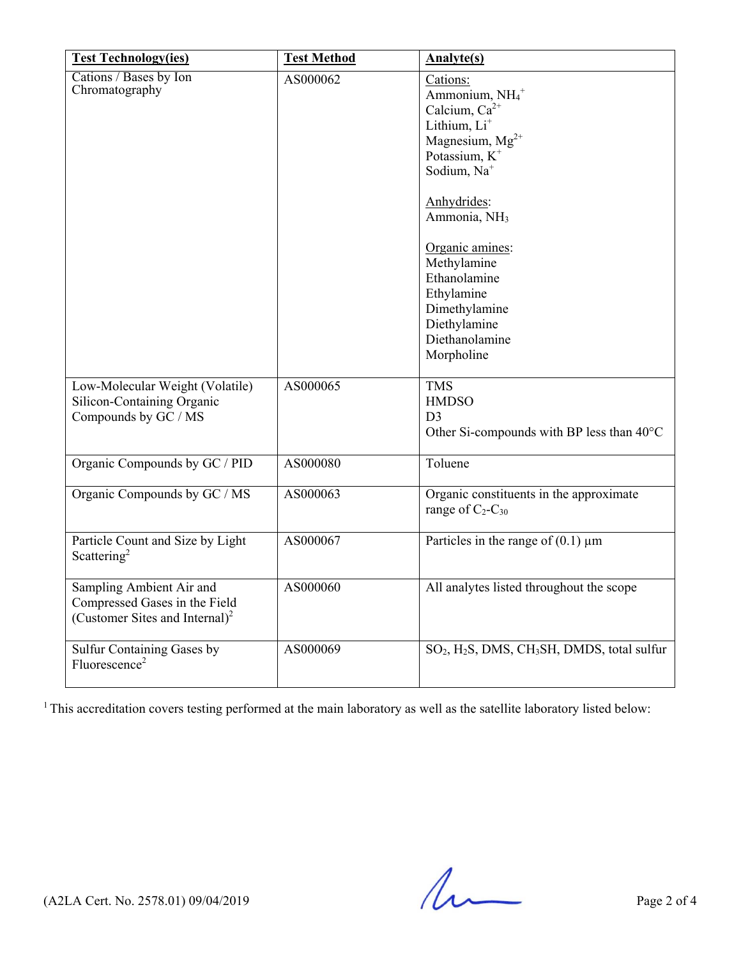| <b>Test Technology(ies)</b>                                                                             | <b>Test Method</b> | <b>Analyte(s)</b>                                                                                                                                                                                                                                                                                                                                       |
|---------------------------------------------------------------------------------------------------------|--------------------|---------------------------------------------------------------------------------------------------------------------------------------------------------------------------------------------------------------------------------------------------------------------------------------------------------------------------------------------------------|
| Cations / Bases by Ion<br>Chromatography                                                                | AS000062           | Cations:<br>Ammonium, NH <sub>4</sub> <sup>+</sup><br>Calcium, $Ca^{2+}$<br>Lithium, Li <sup>+</sup><br>Magnesium, $Mg^{2+}$<br>Potassium, $K^+$<br>Sodium, Na <sup>+</sup><br>Anhydrides:<br>Ammonia, NH <sub>3</sub><br>Organic amines:<br>Methylamine<br>Ethanolamine<br>Ethylamine<br>Dimethylamine<br>Diethylamine<br>Diethanolamine<br>Morpholine |
| Low-Molecular Weight (Volatile)<br>Silicon-Containing Organic<br>Compounds by GC / MS                   | AS000065           | <b>TMS</b><br><b>HMDSO</b><br>D <sub>3</sub><br>Other Si-compounds with BP less than $40^{\circ}$ C                                                                                                                                                                                                                                                     |
| Organic Compounds by GC / PID                                                                           | AS000080           | Toluene                                                                                                                                                                                                                                                                                                                                                 |
| Organic Compounds by GC / MS                                                                            | AS000063           | Organic constituents in the approximate<br>range of $C_2$ - $C_{30}$                                                                                                                                                                                                                                                                                    |
| Particle Count and Size by Light<br>Scattering <sup>2</sup>                                             | AS000067           | Particles in the range of $(0.1)$ µm                                                                                                                                                                                                                                                                                                                    |
| Sampling Ambient Air and<br>Compressed Gases in the Field<br>(Customer Sites and Internal) <sup>2</sup> | AS000060           | All analytes listed throughout the scope                                                                                                                                                                                                                                                                                                                |
| Sulfur Containing Gases by<br>Fluorescence <sup>2</sup>                                                 | AS000069           | SO <sub>2</sub> , H <sub>2</sub> S, DMS, CH <sub>3</sub> SH, DMDS, total sulfur                                                                                                                                                                                                                                                                         |

<sup>1</sup> This accreditation covers testing performed at the main laboratory as well as the satellite laboratory listed below:

 $(A2LA$  Cert. No. 2578.01) 09/04/2019 Page 2 of 4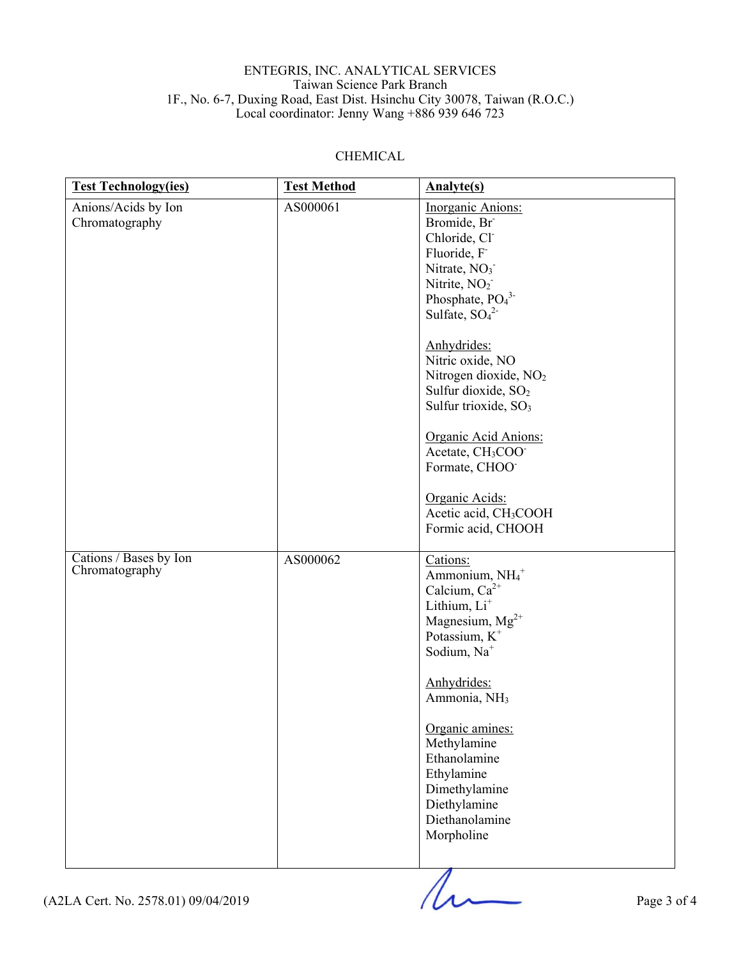#### ENTEGRIS, INC. ANALYTICAL SERVICES Taiwan Science Park Branch 1F., No. 6-7, Duxing Road, East Dist. Hsinchu City 30078, Taiwan (R.O.C.) Local coordinator: Jenny Wang +886 939 646 723

### CHEMICAL

| <b>Test Technology(ies)</b>              | <b>Test Method</b> | <b>Analyte(s)</b>                                                                                                                                                                                                                                                                                                                                                                                                                                                                                             |
|------------------------------------------|--------------------|---------------------------------------------------------------------------------------------------------------------------------------------------------------------------------------------------------------------------------------------------------------------------------------------------------------------------------------------------------------------------------------------------------------------------------------------------------------------------------------------------------------|
| Anions/Acids by Ion<br>Chromatography    | AS000061           | Inorganic Anions:<br>Bromide, Br<br>Chloride, Cl <sup>-</sup><br>Fluoride, F<br>Nitrate, NO <sub>3</sub><br>Nitrite, NO <sub>2</sub><br>Phosphate, $PO43$<br>Sulfate, $SO_4^2$<br>Anhydrides:<br>Nitric oxide, NO<br>Nitrogen dioxide, NO <sub>2</sub><br>Sulfur dioxide, SO <sub>2</sub><br>Sulfur trioxide, SO <sub>3</sub><br>Organic Acid Anions:<br>Acetate, CH <sub>3</sub> COO <sup>-</sup><br>Formate, CHOO <sup>-</sup><br>Organic Acids:<br>Acetic acid, CH <sub>3</sub> COOH<br>Formic acid, CHOOH |
| Cations / Bases by Ion<br>Chromatography | AS000062           | Cations:<br>Ammonium, NH <sub>4</sub> +<br>Calcium, Ca <sup>2+</sup><br>Lithium, Li <sup>+</sup><br>Magnesium, $Mg^{2+}$<br>Potassium, K <sup>+</sup><br>Sodium, Na <sup>+</sup><br>Anhydrides:<br>Ammonia, NH <sub>3</sub><br>Organic amines:<br>Methylamine<br>Ethanolamine<br>Ethylamine<br>Dimethylamine<br>Diethylamine<br>Diethanolamine<br>Morpholine                                                                                                                                                  |

 $(12LA$  Cert. No. 2578.01) 09/04/2019 Page 3 of 4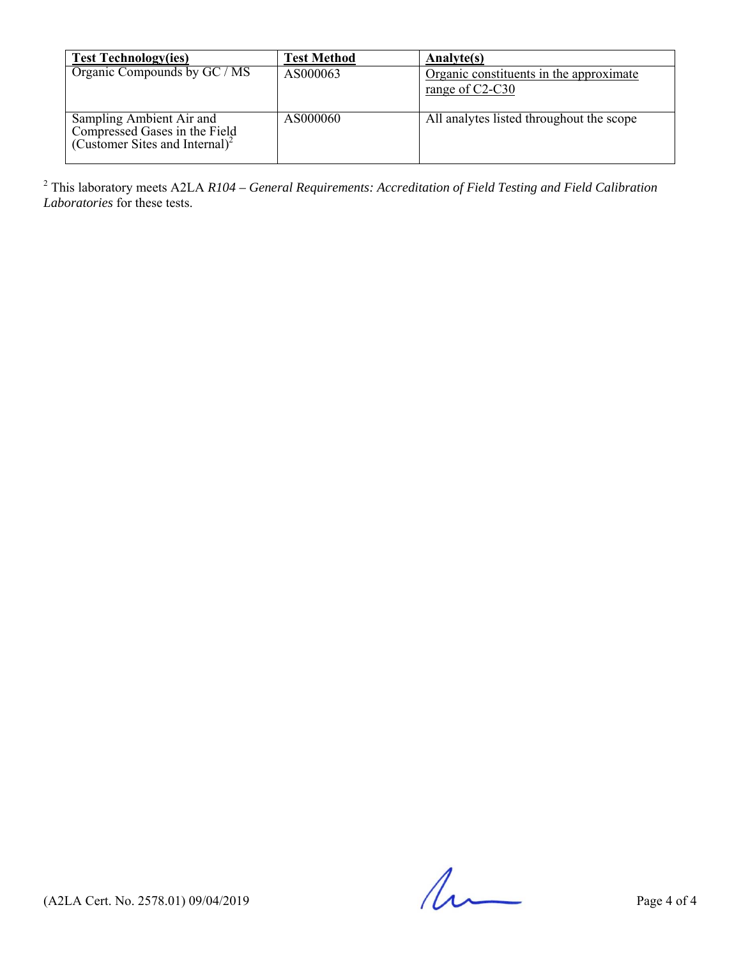| <b>Test Technology(ies)</b>                                                                             | <b>Test Method</b> | Analyte(s)                                                   |
|---------------------------------------------------------------------------------------------------------|--------------------|--------------------------------------------------------------|
| Organic Compounds by GC / MS                                                                            | AS000063           | Organic constituents in the approximate<br>range of $C2-C30$ |
| Sampling Ambient Air and<br>Compressed Gases in the Field<br>(Customer Sites and Internal) <sup>2</sup> | AS000060           | All analytes listed throughout the scope                     |

2 This laboratory meets A2LA *R104 – General Requirements: Accreditation of Field Testing and Field Calibration Laboratories* for these tests.

 $(42LA$  Cert. No. 2578.01) 09/04/2019 Page 4 of 4